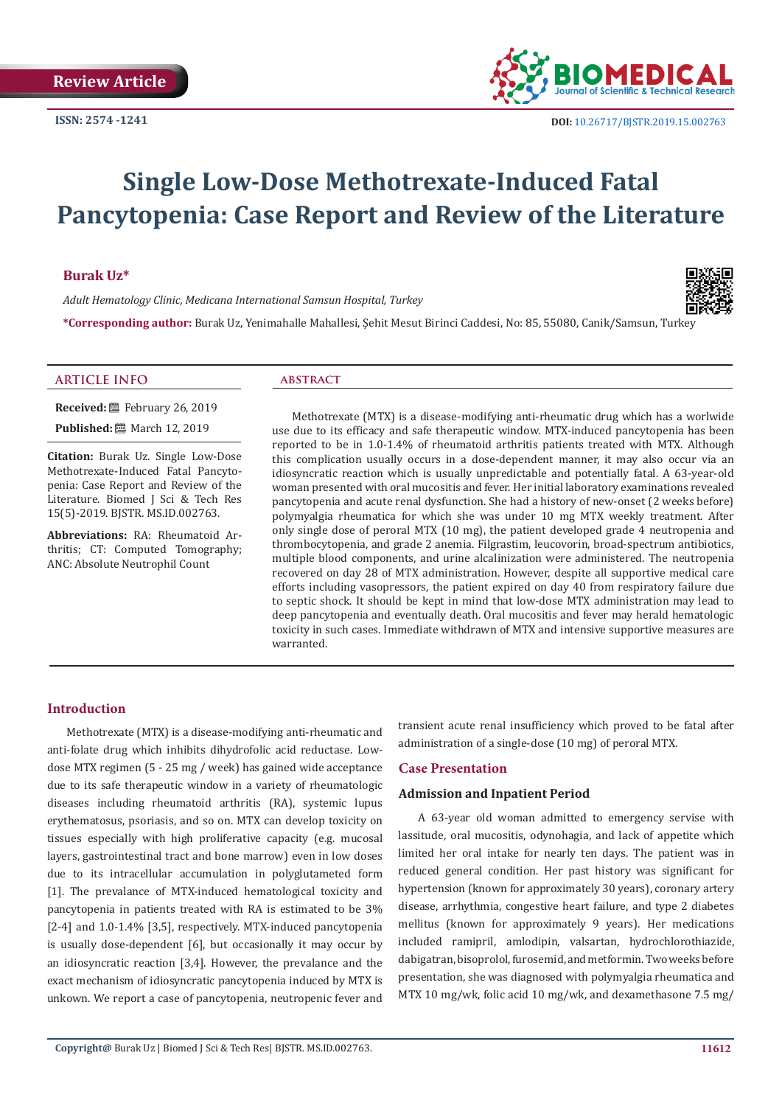

# **Single Low-Dose Methotrexate-Induced Fatal Pancytopenia: Case Report and Review of the Literature**

#### **Burak Uz\***

*Adult Hematology Clinic, Medicana International Samsun Hospital, Turkey*



**\*Corresponding author:** Burak Uz, Yenimahalle Mahallesi, Şehit Mesut Birinci Caddesi, No: 85, 55080, Canik/Samsun, Turkey

# **ARTICLE INFO abstract**

**Received:** February 26, 2019 **Published:** March 12, 2019

**Citation:** Burak Uz. Single Low-Dose Methotrexate-Induced Fatal Pancytopenia: Case Report and Review of the Literature. Biomed J Sci & Tech Res 15(5)-2019. BJSTR. MS.ID.002763.

**Abbreviations:** RA: Rheumatoid Arthritis; CT: Computed Tomography; ANC: Absolute Neutrophil Count

Methotrexate (MTX) is a disease-modifying anti-rheumatic drug which has a worlwide use due to its efficacy and safe therapeutic window. MTX-induced pancytopenia has been reported to be in 1.0-1.4% of rheumatoid arthritis patients treated with MTX. Although this complication usually occurs in a dose-dependent manner, it may also occur via an idiosyncratic reaction which is usually unpredictable and potentially fatal. A 63-year-old woman presented with oral mucositis and fever. Her initial laboratory examinations revealed pancytopenia and acute renal dysfunction. She had a history of new-onset (2 weeks before) polymyalgia rheumatica for which she was under 10 mg MTX weekly treatment. After only single dose of peroral MTX (10 mg), the patient developed grade 4 neutropenia and thrombocytopenia, and grade 2 anemia. Filgrastim, leucovorin, broad-spectrum antibiotics, multiple blood components, and urine alcalinization were administered. The neutropenia recovered on day 28 of MTX administration. However, despite all supportive medical care efforts including vasopressors, the patient expired on day 40 from respiratory failure due to septic shock. It should be kept in mind that low-dose MTX administration may lead to deep pancytopenia and eventually death. Oral mucositis and fever may herald hematologic toxicity in such cases. Immediate withdrawn of MTX and intensive supportive measures are warranted.

#### **Introduction**

Methotrexate (MTX) is a disease-modifying anti-rheumatic and anti-folate drug which inhibits dihydrofolic acid reductase. Lowdose MTX regimen (5 - 25 mg / week) has gained wide acceptance due to its safe therapeutic window in a variety of rheumatologic diseases including rheumatoid arthritis (RA), systemic lupus erythematosus, psoriasis, and so on. MTX can develop toxicity on tissues especially with high proliferative capacity (e.g. mucosal layers, gastrointestinal tract and bone marrow) even in low doses due to its intracellular accumulation in polyglutameted form [1]. The prevalance of MTX-induced hematological toxicity and pancytopenia in patients treated with RA is estimated to be 3% [2-4] and 1.0-1.4% [3,5], respectively. MTX-induced pancytopenia is usually dose-dependent [6], but occasionally it may occur by an idiosyncratic reaction [3,4]. However, the prevalance and the exact mechanism of idiosyncratic pancytopenia induced by MTX is unkown. We report a case of pancytopenia, neutropenic fever and

transient acute renal insufficiency which proved to be fatal after administration of a single-dose (10 mg) of peroral MTX.

#### **Case Presentation**

#### **Admission and Inpatient Period**

A 63-year old woman admitted to emergency servise with lassitude, oral mucositis, odynohagia, and lack of appetite which limited her oral intake for nearly ten days. The patient was in reduced general condition. Her past history was significant for hypertension (known for approximately 30 years), coronary artery disease, arrhythmia, congestive heart failure, and type 2 diabetes mellitus (known for approximately 9 years). Her medications included ramipril, amlodipin, valsartan, hydrochlorothiazide, dabigatran, bisoprolol, furosemid, and metformin. Two weeks before presentation, she was diagnosed with polymyalgia rheumatica and MTX 10 mg/wk, folic acid 10 mg/wk, and dexamethasone 7.5 mg/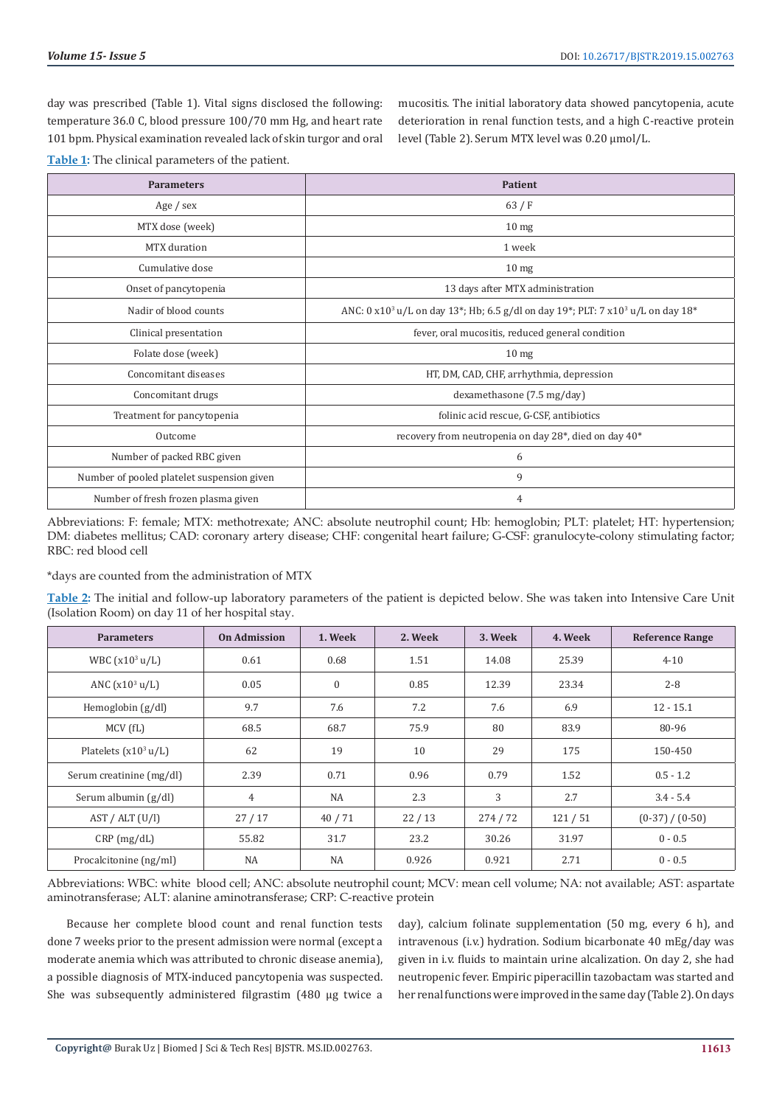day was prescribed (Table 1). Vital signs disclosed the following: temperature 36.0 C, blood pressure 100/70 mm Hg, and heart rate 101 bpm. Physical examination revealed lack of skin turgor and oral

mucositis. The initial laboratory data showed pancytopenia, acute deterioration in renal function tests, and a high C-reactive protein level (Table 2). Serum MTX level was 0.20 μmol/L.

**Table 1:** The clinical parameters of the patient.

| <b>Parameters</b>                          | <b>Patient</b>                                                                                                                                |  |  |  |
|--------------------------------------------|-----------------------------------------------------------------------------------------------------------------------------------------------|--|--|--|
| Age / sex                                  | 63/F                                                                                                                                          |  |  |  |
| MTX dose (week)                            | 10 <sub>mg</sub>                                                                                                                              |  |  |  |
| MTX duration                               | 1 week                                                                                                                                        |  |  |  |
| Cumulative dose                            | 10 <sub>mg</sub>                                                                                                                              |  |  |  |
| Onset of pancytopenia                      | 13 days after MTX administration                                                                                                              |  |  |  |
| Nadir of blood counts                      | ANC: 0 x10 <sup>3</sup> u/L on day 13 <sup>*</sup> ; Hb; 6.5 g/dl on day 19 <sup>*</sup> ; PLT: 7 x10 <sup>3</sup> u/L on day 18 <sup>*</sup> |  |  |  |
| Clinical presentation                      | fever, oral mucositis, reduced general condition                                                                                              |  |  |  |
| Folate dose (week)                         | 10 <sub>mg</sub>                                                                                                                              |  |  |  |
| Concomitant diseases                       | HT, DM, CAD, CHF, arrhythmia, depression                                                                                                      |  |  |  |
| Concomitant drugs                          | dexamethasone (7.5 mg/day)                                                                                                                    |  |  |  |
| Treatment for pancytopenia                 | folinic acid rescue, G-CSF, antibiotics                                                                                                       |  |  |  |
| Outcome                                    | recovery from neutropenia on day 28*, died on day 40*                                                                                         |  |  |  |
| Number of packed RBC given                 | 6                                                                                                                                             |  |  |  |
| Number of pooled platelet suspension given | 9                                                                                                                                             |  |  |  |
| Number of fresh frozen plasma given        | 4                                                                                                                                             |  |  |  |

Abbreviations: F: female; MTX: methotrexate; ANC: absolute neutrophil count; Hb: hemoglobin; PLT: platelet; HT: hypertension; DM: diabetes mellitus; CAD: coronary artery disease; CHF: congenital heart failure; G-CSF: granulocyte-colony stimulating factor; RBC: red blood cell

\*days are counted from the administration of MTX

**Table 2:** The initial and follow-up laboratory parameters of the patient is depicted below. She was taken into Intensive Care Unit (Isolation Room) on day 11 of her hospital stay.

| <b>Parameters</b>        | <b>On Admission</b> | 1. Week      | 2. Week | 3. Week | 4. Week | <b>Reference Range</b> |
|--------------------------|---------------------|--------------|---------|---------|---------|------------------------|
| WBC $(x10^3 u/L)$        | 0.61                | 0.68         | 1.51    | 14.08   | 25.39   | $4 - 10$               |
| ANC $(x10^3 u/L)$        | 0.05                | $\mathbf{0}$ | 0.85    | 12.39   | 23.34   | $2 - 8$                |
| Hemoglobin (g/dl)        | 9.7                 | 7.6          | 7.2     | 7.6     | 6.9     | $12 - 15.1$            |
| MCV(fL)                  | 68.5                | 68.7         | 75.9    | 80      | 83.9    | 80-96                  |
| Platelets $(x10^3 u/L)$  | 62                  | 19           | 10      | 29      | 175     | 150-450                |
| Serum creatinine (mg/dl) | 2.39                | 0.71         | 0.96    | 0.79    | 1.52    | $0.5 - 1.2$            |
| Serum albumin $(g/dl)$   | $\overline{4}$      | NA           | 2.3     | 3       | 2.7     | $3.4 - 5.4$            |
| AST /ALT (U/I)           | 27/17               | 40/71        | 22/13   | 274/72  | 121/51  | $(0-37) / (0-50)$      |
| $CRP$ (mg/dL)            | 55.82               | 31.7         | 23.2    | 30.26   | 31.97   | $0 - 0.5$              |
| Procalcitonine (ng/ml)   | <b>NA</b>           | <b>NA</b>    | 0.926   | 0.921   | 2.71    | $0 - 0.5$              |

Abbreviations: WBC: white blood cell; ANC: absolute neutrophil count; MCV: mean cell volume; NA: not available; AST: aspartate aminotransferase; ALT: alanine aminotransferase; CRP: C-reactive protein

Because her complete blood count and renal function tests done 7 weeks prior to the present admission were normal (except a moderate anemia which was attributed to chronic disease anemia), a possible diagnosis of MTX-induced pancytopenia was suspected. She was subsequently administered filgrastim (480 µg twice a

day), calcium folinate supplementation (50 mg, every 6 h), and intravenous (i.v.) hydration. Sodium bicarbonate 40 mEg/day was given in i.v. fluids to maintain urine alcalization. On day 2, she had neutropenic fever. Empiric piperacillin tazobactam was started and her renal functions were improved in the same day (Table 2). On days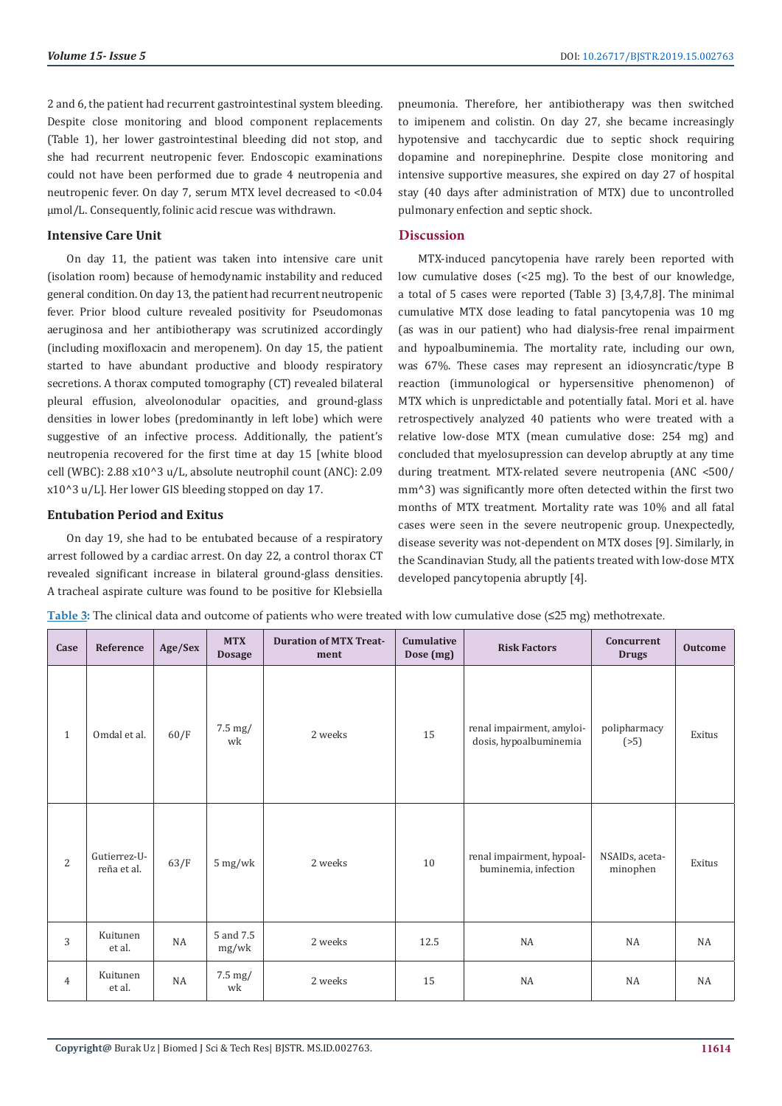2 and 6, the patient had recurrent gastrointestinal system bleeding. Despite close monitoring and blood component replacements (Table 1), her lower gastrointestinal bleeding did not stop, and she had recurrent neutropenic fever. Endoscopic examinations could not have been performed due to grade 4 neutropenia and neutropenic fever. On day 7, serum MTX level decreased to <0.04 μmol/L. Consequently, folinic acid rescue was withdrawn.

# **Intensive Care Unit**

On day 11, the patient was taken into intensive care unit (isolation room) because of hemodynamic instability and reduced general condition. On day 13, the patient had recurrent neutropenic fever. Prior blood culture revealed positivity for Pseudomonas aeruginosa and her antibiotherapy was scrutinized accordingly (including moxifloxacin and meropenem). On day 15, the patient started to have abundant productive and bloody respiratory secretions. A thorax computed tomography (CT) revealed bilateral pleural effusion, alveolonodular opacities, and ground-glass densities in lower lobes (predominantly in left lobe) which were suggestive of an infective process. Additionally, the patient's neutropenia recovered for the first time at day 15 [white blood cell (WBC): 2.88 x10^3 u/L, absolute neutrophil count (ANC): 2.09 x10^3 u/L]. Her lower GIS bleeding stopped on day 17.

#### **Entubation Period and Exitus**

On day 19, she had to be entubated because of a respiratory arrest followed by a cardiac arrest. On day 22, a control thorax CT revealed significant increase in bilateral ground-glass densities. A tracheal aspirate culture was found to be positive for Klebsiella pneumonia. Therefore, her antibiotherapy was then switched to imipenem and colistin. On day 27, she became increasingly hypotensive and tacchycardic due to septic shock requiring dopamine and norepinephrine. Despite close monitoring and intensive supportive measures, she expired on day 27 of hospital stay (40 days after administration of MTX) due to uncontrolled pulmonary enfection and septic shock.

# **Discussion**

MTX-induced pancytopenia have rarely been reported with low cumulative doses (<25 mg). To the best of our knowledge, a total of 5 cases were reported (Table 3) [3,4,7,8]. The minimal cumulative MTX dose leading to fatal pancytopenia was 10 mg (as was in our patient) who had dialysis-free renal impairment and hypoalbuminemia. The mortality rate, including our own, was 67%. These cases may represent an idiosyncratic/type B reaction (immunological or hypersensitive phenomenon) of MTX which is unpredictable and potentially fatal. Mori et al. have retrospectively analyzed 40 patients who were treated with a relative low-dose MTX (mean cumulative dose: 254 mg) and concluded that myelosupression can develop abruptly at any time during treatment. MTX-related severe neutropenia (ANC <500/ mm^3) was significantly more often detected within the first two months of MTX treatment. Mortality rate was 10% and all fatal cases were seen in the severe neutropenic group. Unexpectedly, disease severity was not-dependent on MTX doses [9]. Similarly, in the Scandinavian Study, all the patients treated with low-dose MTX developed pancytopenia abruptly [4].

| Case           | Reference                   | Age/Sex | <b>MTX</b><br><b>Dosage</b> | <b>Duration of MTX Treat-</b><br>ment | Cumulative<br>Dose (mg) | <b>Risk Factors</b>                                 | Concurrent<br><b>Drugs</b> | Outcome |
|----------------|-----------------------------|---------|-----------------------------|---------------------------------------|-------------------------|-----------------------------------------------------|----------------------------|---------|
| $\mathbf{1}$   | Omdal et al.                | 60/F    | 7.5 mg/<br>wk               | 2 weeks                               | 15                      | renal impairment, amyloi-<br>dosis, hypoalbuminemia | polipharmacy<br>(55)       | Exitus  |
| $\overline{c}$ | Gutierrez-U-<br>reña et al. | 63/F    | $5 \text{ mg/wk}$           | 2 weeks                               | 10                      | renal impairment, hypoal-<br>buminemia, infection   | NSAIDs, aceta-<br>minophen | Exitus  |
| 3              | Kuitunen<br>et al.          | NA      | 5 and 7.5<br>mg/wk          | 2 weeks                               | 12.5                    | NA                                                  | NA                         | NA      |
| $\overline{4}$ | Kuitunen<br>et al.          | NA      | 7.5 mg/<br>wk               | 2 weeks                               | 15                      | NA                                                  | NA                         | NA      |

**Table 3:** The clinical data and outcome of patients who were treated with low cumulative dose (≤25 mg) methotrexate.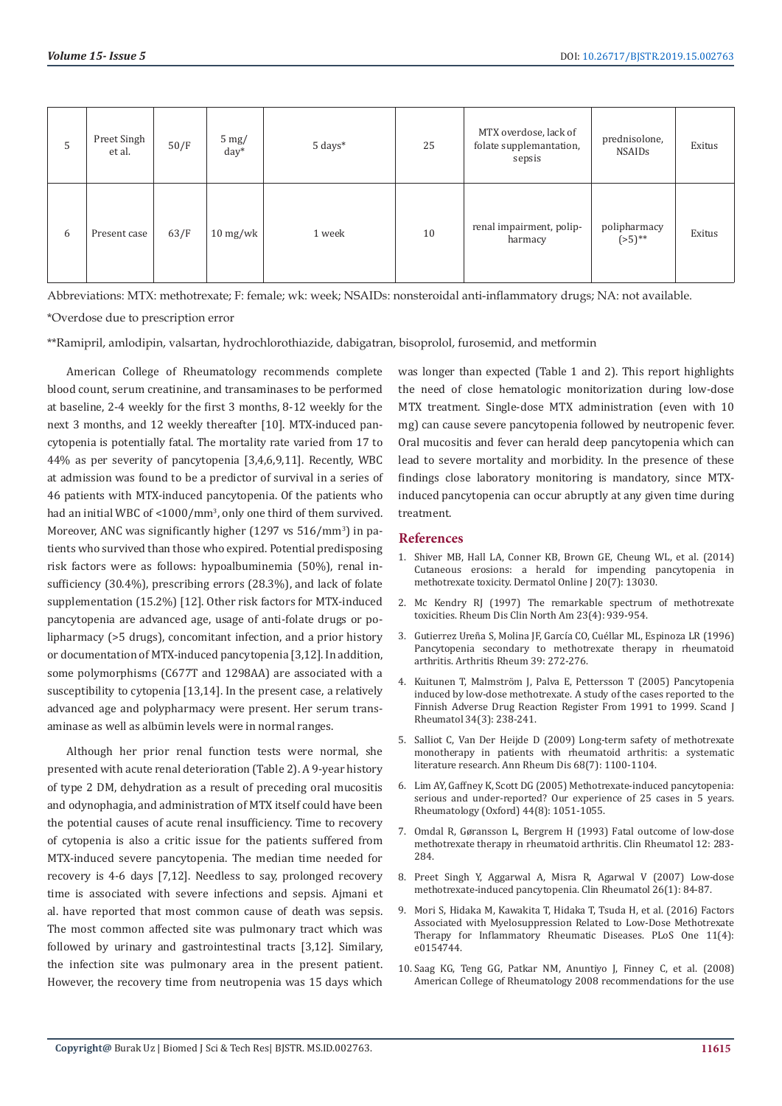| 5 | Preet Singh<br>et al. | 50/F | $5 \text{ mg}$<br>$day^*$       | 5 days* | 25 | MTX overdose, lack of<br>folate supplemantation,<br>sepsis | prednisolone,<br><b>NSAIDs</b> | Exitus |
|---|-----------------------|------|---------------------------------|---------|----|------------------------------------------------------------|--------------------------------|--------|
| 6 | Present case          | 63/F | $10 \frac{\text{mg}}{\text{w}}$ | 1 week  | 10 | renal impairment, polip-<br>harmacy                        | polipharmacy<br>$(55)$ **      | Exitus |

Abbreviations: MTX: methotrexate; F: female; wk: week; NSAIDs: nonsteroidal anti-inflammatory drugs; NA: not available.

\*Overdose due to prescription error

\*\*Ramipril, amlodipin, valsartan, hydrochlorothiazide, dabigatran, bisoprolol, furosemid, and metformin

American College of Rheumatology recommends complete blood count, serum creatinine, and transaminases to be performed at baseline, 2-4 weekly for the first 3 months, 8-12 weekly for the next 3 months, and 12 weekly thereafter [10]. MTX-induced pancytopenia is potentially fatal. The mortality rate varied from 17 to 44% as per severity of pancytopenia [3,4,6,9,11]. Recently, WBC at admission was found to be a predictor of survival in a series of 46 patients with MTX-induced pancytopenia. Of the patients who had an initial WBC of <1000/mm<sup>3</sup>, only one third of them survived. Moreover, ANC was significantly higher (1297 vs 516/mm<sup>3</sup>) in patients who survived than those who expired. Potential predisposing risk factors were as follows: hypoalbuminemia (50%), renal insufficiency (30.4%), prescribing errors (28.3%), and lack of folate supplementation (15.2%) [12]. Other risk factors for MTX-induced pancytopenia are advanced age, usage of anti-folate drugs or polipharmacy (>5 drugs), concomitant infection, and a prior history or documentation of MTX-induced pancytopenia [3,12]. In addition, some polymorphisms (C677T and 1298AA) are associated with a susceptibility to cytopenia [13,14]. In the present case, a relatively advanced age and polypharmacy were present. Her serum transaminase as well as albümin levels were in normal ranges.

Although her prior renal function tests were normal, she presented with acute renal deterioration (Table 2). A 9-year history of type 2 DM, dehydration as a result of preceding oral mucositis and odynophagia, and administration of MTX itself could have been the potential causes of acute renal insufficiency. Time to recovery of cytopenia is also a critic issue for the patients suffered from MTX-induced severe pancytopenia. The median time needed for recovery is 4-6 days [7,12]. Needless to say, prolonged recovery time is associated with severe infections and sepsis. Ajmani et al. have reported that most common cause of death was sepsis. The most common affected site was pulmonary tract which was followed by urinary and gastrointestinal tracts [3,12]. Similary, the infection site was pulmonary area in the present patient. However, the recovery time from neutropenia was 15 days which

was longer than expected (Table 1 and 2). This report highlights the need of close hematologic monitorization during low-dose MTX treatment. Single-dose MTX administration (even with 10 mg) can cause severe pancytopenia followed by neutropenic fever. Oral mucositis and fever can herald deep pancytopenia which can lead to severe mortality and morbidity. In the presence of these findings close laboratory monitoring is mandatory, since MTXinduced pancytopenia can occur abruptly at any given time during treatment.

## **References**

- 1. Shiver MB, Hall LA, Conner KB, Brown GE, Cheung WL, et al. (2014) Cutaneous erosions: a herald for impending pancytopenia in methotrexate toxicity. Dermatol Online J 20(7): 13030.
- 2. Mc Kendry RJ (1997) The remarkable spectrum of methotrexate toxicities. Rheum Dis Clin North Am 23(4): 939-954.
- 3. Gutierrez Ureña S, Molina JF, García CO, Cuéllar ML, Espinoza LR (1996) Pancytopenia secondary to methotrexate therapy in rheumatoid arthritis. Arthritis Rheum 39: 272-276.
- 4. Kuitunen T, Malmström J, Palva E, Pettersson T (2005) Pancytopenia induced by low-dose methotrexate. A study of the cases reported to the Finnish Adverse Drug Reaction Register From 1991 to 1999. Scand J Rheumatol 34(3): 238-241.
- 5. Salliot C, Van Der Heijde D (2009) Long-term safety of methotrexate monotherapy in patients with rheumatoid arthritis: a systematic literature research. Ann Rheum Dis 68(7): 1100-1104.
- 6. Lim AY, Gaffney K, Scott DG (2005) Methotrexate-induced pancytopenia: serious and under-reported? Our experience of 25 cases in 5 years. Rheumatology (Oxford) 44(8): 1051-1055.
- 7. Omdal R, Gøransson L, Bergrem H (1993) Fatal outcome of low-dose methotrexate therapy in rheumatoid arthritis. Clin Rheumatol 12: 283- 284.
- 8. Preet Singh Y, Aggarwal A, Misra R, Agarwal V (2007) Low-dose methotrexate-induced pancytopenia. Clin Rheumatol 26(1): 84-87.
- 9. Mori S, Hidaka M, Kawakita T, Hidaka T, Tsuda H, et al. (2016) Factors Associated with Myelosuppression Related to Low-Dose Methotrexate Therapy for Inflammatory Rheumatic Diseases. PLoS One 11(4): e0154744.
- 10. Saag KG, Teng GG, Patkar NM, Anuntiyo J, Finney C, et al. (2008) American College of Rheumatology 2008 recommendations for the use